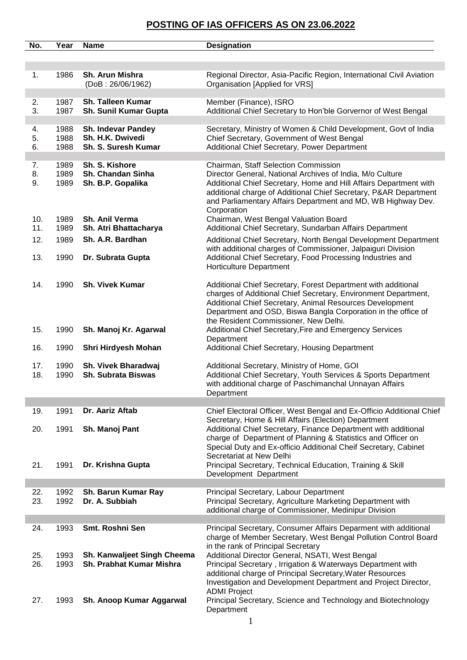| No.        | Year         | <b>Name</b>                                             | <b>Designation</b>                                                                                                                                                                                                                                                                                                                                                            |
|------------|--------------|---------------------------------------------------------|-------------------------------------------------------------------------------------------------------------------------------------------------------------------------------------------------------------------------------------------------------------------------------------------------------------------------------------------------------------------------------|
|            |              |                                                         |                                                                                                                                                                                                                                                                                                                                                                               |
| 1.         | 1986         | Sh. Arun Mishra<br>(DoB: 26/06/1962)                    | Regional Director, Asia-Pacific Region, International Civil Aviation<br>Organisation [Applied for VRS]                                                                                                                                                                                                                                                                        |
| 2.         | 1987         | Sh. Talleen Kumar                                       | Member (Finance), ISRO                                                                                                                                                                                                                                                                                                                                                        |
| 3.         | 1987         | Sh. Sunil Kumar Gupta                                   | Additional Chief Secretary to Hon'ble Gorvernor of West Bengal                                                                                                                                                                                                                                                                                                                |
| 4.         | 1988         | Sh. Indevar Pandey                                      | Secretary, Ministry of Women & Child Development, Govt of India                                                                                                                                                                                                                                                                                                               |
| 5.         | 1988         | Sh. H.K. Dwivedi                                        | Chief Secretary, Government of West Bengal                                                                                                                                                                                                                                                                                                                                    |
| 6.         | 1988         | Sh. S. Suresh Kumar                                     | Additional Chief Secretary, Power Department                                                                                                                                                                                                                                                                                                                                  |
|            |              |                                                         |                                                                                                                                                                                                                                                                                                                                                                               |
| 7.<br>8.   | 1989<br>1989 | Sh. S. Kishore<br>Sh. Chandan Sinha                     | Chairman, Staff Selection Commission<br>Director General, National Archives of India, M/o Culture                                                                                                                                                                                                                                                                             |
| 9.         | 1989         | Sh. B.P. Gopalika                                       | Additional Chief Secretary, Home and Hill Affairs Department with<br>additional charge of Additional Chief Secretary, P&AR Department<br>and Parliamentary Affairs Department and MD, WB Highway Dev.<br>Corporation                                                                                                                                                          |
| 10.        | 1989         | Sh. Anil Verma                                          | Chairman, West Bengal Valuation Board                                                                                                                                                                                                                                                                                                                                         |
| 11.        | 1989         | Sh. Atri Bhattacharya                                   | Additional Chief Secretary, Sundarban Affairs Department                                                                                                                                                                                                                                                                                                                      |
| 12.        | 1989         | Sh. A.R. Bardhan                                        | Additional Chief Secretary, North Bengal Development Department<br>with additional charges of Commissioner, Jalpaiguri Division                                                                                                                                                                                                                                               |
| 13.        | 1990         | Dr. Subrata Gupta                                       | Additional Chief Secretary, Food Processing Industries and<br><b>Horticulture Department</b>                                                                                                                                                                                                                                                                                  |
| 14.        | 1990         | <b>Sh. Vivek Kumar</b>                                  | Additional Chief Secretary, Forest Department with additional<br>charges of Additional Chief Secretary, Environment Department,<br>Additional Chief Secretary, Animal Resources Development<br>Department and OSD, Biswa Bangla Corporation in the office of<br>the Resident Commissioner, New Delhi.                                                                         |
| 15.        | 1990         | Sh. Manoj Kr. Agarwal                                   | Additional Chief Secretary, Fire and Emergency Services<br>Department                                                                                                                                                                                                                                                                                                         |
| 16.        | 1990         | Shri Hirdyesh Mohan                                     | Additional Chief Secretary, Housing Department                                                                                                                                                                                                                                                                                                                                |
| 17.<br>18. | 1990<br>1990 | Sh. Vivek Bharadwaj<br><b>Sh. Subrata Biswas</b>        | Additional Secretary, Ministry of Home, GOI<br>Additional Chief Secretary, Youth Services & Sports Department<br>with additional charge of Paschimanchal Unnayan Affairs<br>Department                                                                                                                                                                                        |
| 19.        | 1991         | Dr. Aariz Aftab                                         | Chief Electoral Officer, West Bengal and Ex-Officio Additional Chief                                                                                                                                                                                                                                                                                                          |
| 20.        | 1991         | Sh. Manoj Pant                                          | Secretary, Home & Hill Affairs (Election) Department<br>Additional Chief Secretary, Finance Department with additional<br>charge of Department of Planning & Statistics and Officer on<br>Special Duty and Ex-officio Additional Cheif Secretary, Cabinet<br>Secretariat at New Delhi                                                                                         |
| 21.        | 1991         | Dr. Krishna Gupta                                       | Principal Secretary, Technical Education, Training & Skill<br>Development Department                                                                                                                                                                                                                                                                                          |
|            |              |                                                         |                                                                                                                                                                                                                                                                                                                                                                               |
| 22.<br>23. | 1992<br>1992 | Sh. Barun Kumar Ray<br>Dr. A. Subbiah                   | Principal Secretary, Labour Department<br>Principal Secretary, Agriculture Marketing Department with<br>additional charge of Commissioner, Medinipur Division                                                                                                                                                                                                                 |
| 24.        | 1993         | Smt. Roshni Sen                                         | Principal Secretary, Consumer Affairs Deparment with additional                                                                                                                                                                                                                                                                                                               |
| 25.<br>26. | 1993<br>1993 | Sh. Kanwaljeet Singh Cheema<br>Sh. Prabhat Kumar Mishra | charge of Member Secretary, West Bengal Pollution Control Board<br>in the rank of Principal Secretary<br>Additional Director General, NSATI, West Bengal<br>Principal Secretary, Irrigation & Waterways Department with<br>additional charge of Principal Secretary, Water Resources<br>Investigation and Development Department and Project Director,<br><b>ADMI Project</b> |
| 27.        | 1993         | Sh. Anoop Kumar Aggarwal                                | Principal Secretary, Science and Technology and Biotechnology<br>Department                                                                                                                                                                                                                                                                                                   |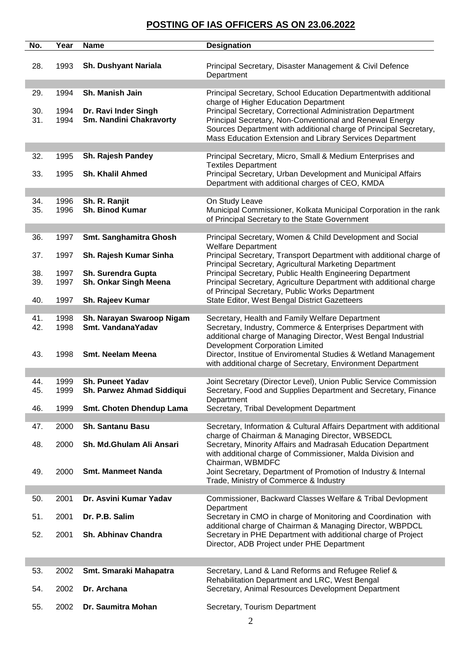| No.        | Year         | <b>Name</b>                                     | <b>Designation</b>                                                                                                         |
|------------|--------------|-------------------------------------------------|----------------------------------------------------------------------------------------------------------------------------|
| 28.        | 1993         | Sh. Dushyant Nariala                            | Principal Secretary, Disaster Management & Civil Defence<br>Department                                                     |
| 29.        | 1994         | Sh. Manish Jain                                 | Principal Secretary, School Education Departmentwith additional                                                            |
|            |              |                                                 | charge of Higher Education Department                                                                                      |
| 30.<br>31. | 1994<br>1994 | Dr. Ravi Inder Singh<br>Sm. Nandini Chakravorty | Principal Secretary, Correctional Administration Department<br>Principal Secretary, Non-Conventional and Renewal Energy    |
|            |              |                                                 | Sources Department with additional charge of Principal Secretary,                                                          |
|            |              |                                                 | Mass Education Extension and Library Services Department                                                                   |
| 32.        | 1995         | Sh. Rajesh Pandey                               | Principal Secretary, Micro, Small & Medium Enterprises and<br><b>Textiles Department</b>                                   |
| 33.        | 1995         | <b>Sh. Khalil Ahmed</b>                         | Principal Secretary, Urban Development and Municipal Affairs                                                               |
|            |              |                                                 | Department with additional charges of CEO, KMDA                                                                            |
| 34.        | 1996         | Sh. R. Ranjit                                   | On Study Leave                                                                                                             |
| 35.        | 1996         | Sh. Binod Kumar                                 | Municipal Commissioner, Kolkata Municipal Corporation in the rank<br>of Principal Secretary to the State Government        |
|            |              |                                                 |                                                                                                                            |
| 36.        | 1997         | Smt. Sanghamitra Ghosh                          | Principal Secretary, Women & Child Development and Social<br><b>Welfare Department</b>                                     |
| 37.        | 1997         | Sh. Rajesh Kumar Sinha                          | Principal Secretary, Transport Department with additional charge of                                                        |
| 38.        | 1997         | Sh. Surendra Gupta                              | Principal Secretary, Agricultural Marketing Department<br>Principal Secretary, Public Health Engineering Department        |
| 39.        | 1997         | Sh. Onkar Singh Meena                           | Principal Secretary, Agriculture Department with additional charge                                                         |
| 40.        | 1997         | Sh. Rajeev Kumar                                | of Principal Secretary, Public Works Department<br>State Editor, West Bengal District Gazetteers                           |
|            |              |                                                 |                                                                                                                            |
| 41.<br>42. | 1998<br>1998 | Sh. Narayan Swaroop Nigam<br>Smt. VandanaYadav  | Secretary, Health and Family Welfare Department<br>Secretary, Industry, Commerce & Enterprises Department with             |
|            |              |                                                 | additional charge of Managing Director, West Bengal Industrial                                                             |
| 43.        | 1998         | Smt. Neelam Meena                               | <b>Development Corporation Limited</b><br>Director, Institue of Enviromental Studies & Wetland Management                  |
|            |              |                                                 | with additional charge of Secretary, Environment Department                                                                |
| 44.        | 1999         | <b>Sh. Puneet Yadav</b>                         | Joint Secretary (Director Level), Union Public Service Commission                                                          |
| 45.        | 1999         | Sh. Parwez Ahmad Siddiqui                       | Secretary, Food and Supplies Department and Secretary, Finance                                                             |
| 46.        | 1999         | Smt. Choten Dhendup Lama                        | Department<br>Secretary, Tribal Development Department                                                                     |
|            |              |                                                 |                                                                                                                            |
| 47.        | 2000         | <b>Sh. Santanu Basu</b>                         | Secretary, Information & Cultural Affairs Department with additional<br>charge of Chairman & Managing Director, WBSEDCL    |
| 48.        | 2000         | Sh. Md.Ghulam Ali Ansari                        | Secretary, Minority Affairs and Madrasah Education Department                                                              |
|            |              |                                                 | with additional charge of Commissioner, Malda Division and<br>Chairman, WBMDFC                                             |
| 49.        | 2000         | <b>Smt. Manmeet Nanda</b>                       | Joint Secretary, Department of Promotion of Industry & Internal                                                            |
|            |              |                                                 | Trade, Ministry of Commerce & Industry                                                                                     |
| 50.        | 2001         | Dr. Asvini Kumar Yadav                          | Commissioner, Backward Classes Welfare & Tribal Devlopment                                                                 |
| 51.        | 2001         | Dr. P.B. Salim                                  | Department<br>Secretary in CMO in charge of Monitoring and Coordination with                                               |
| 52.        | 2001         | Sh. Abhinav Chandra                             | additional charge of Chairman & Managing Director, WBPDCL<br>Secretary in PHE Department with additional charge of Project |
|            |              |                                                 | Director, ADB Project under PHE Department                                                                                 |
|            |              |                                                 |                                                                                                                            |
| 53.        | 2002         | Smt. Smaraki Mahapatra                          | Secretary, Land & Land Reforms and Refugee Relief &                                                                        |
| 54.        | 2002         | Dr. Archana                                     | Rehabilitation Department and LRC, West Bengal<br>Secretary, Animal Resources Development Department                       |
|            |              |                                                 |                                                                                                                            |
| 55.        | 2002         | Dr. Saumitra Mohan                              | Secretary, Tourism Department                                                                                              |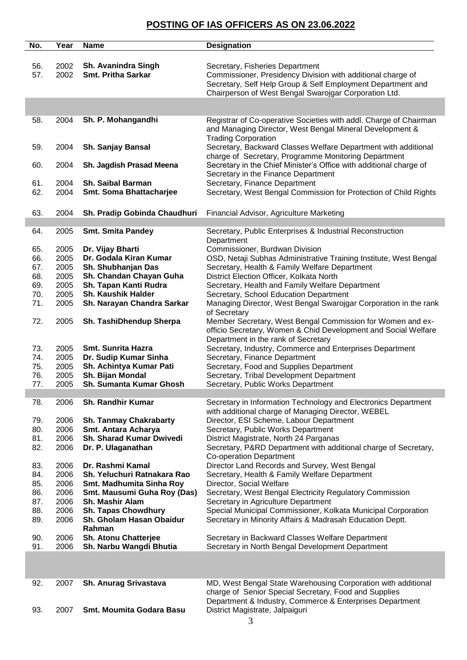| No. | Year | <b>Name</b>                     | <b>Designation</b>                                                 |
|-----|------|---------------------------------|--------------------------------------------------------------------|
|     |      |                                 |                                                                    |
| 56. | 2002 | <b>Sh. Avanindra Singh</b>      | Secretary, Fisheries Department                                    |
| 57. | 2002 | <b>Smt. Pritha Sarkar</b>       | Commissioner, Presidency Division with additional charge of        |
|     |      |                                 | Secretary, Self Help Group & Self Employment Department and        |
|     |      |                                 | Chairperson of West Bengal Swarojgar Corporation Ltd.              |
|     |      |                                 |                                                                    |
|     |      |                                 |                                                                    |
| 58. | 2004 | Sh. P. Mohangandhi              | Registrar of Co-operative Societies with addl. Charge of Chairman  |
|     |      |                                 | and Managing Director, West Bengal Mineral Development &           |
|     |      |                                 | <b>Trading Corporation</b>                                         |
| 59. | 2004 | <b>Sh. Sanjay Bansal</b>        | Secretary, Backward Classes Welfare Department with additional     |
|     |      |                                 | charge of Secretary, Programme Monitoring Department               |
| 60. | 2004 | Sh. Jagdish Prasad Meena        | Secretary in the Chief Minister's Office with additional charge of |
|     |      |                                 | Secretary in the Finance Department                                |
| 61. | 2004 | <b>Sh. Saibal Barman</b>        | Secretary, Finance Department                                      |
| 62. | 2004 | Smt. Soma Bhattacharjee         | Secretary, West Bengal Commission for Protection of Child Rights   |
|     |      |                                 |                                                                    |
| 63. | 2004 | Sh. Pradip Gobinda Chaudhuri    | Financial Advisor, Agriculture Marketing                           |
|     |      |                                 |                                                                    |
| 64. | 2005 | <b>Smt. Smita Pandey</b>        | Secretary, Public Enterprises & Industrial Reconstruction          |
|     |      |                                 | Department                                                         |
| 65. | 2005 | Dr. Vijay Bharti                | Commissioner, Burdwan Division                                     |
| 66. | 2005 | Dr. Godala Kiran Kumar          | OSD, Netaji Subhas Administrative Training Institute, West Bengal  |
| 67. | 2005 | Sh. Shubhanjan Das              | Secretary, Health & Family Welfare Department                      |
| 68. | 2005 | Sh. Chandan Chayan Guha         | District Election Officer, Kolkata North                           |
| 69. | 2005 | Sh. Tapan Kanti Rudra           | Secretary, Health and Family Welfare Department                    |
| 70. | 2005 | <b>Sh. Kaushik Halder</b>       | Secretary, School Education Department                             |
| 71. | 2005 | Sh. Narayan Chandra Sarkar      | Managing Director, West Bengal Swarojgar Corporation in the rank   |
|     |      |                                 | of Secretary                                                       |
| 72. | 2005 | Sh. TashiDhendup Sherpa         | Member Secretary, West Bengal Commission for Women and ex-         |
|     |      |                                 | officio Secretary, Women & Chid Development and Social Welfare     |
|     |      |                                 | Department in the rank of Secretary                                |
| 73. | 2005 | <b>Smt. Sunrita Hazra</b>       | Secretary, Industry, Commerce and Enterprises Department           |
| 74. | 2005 | Dr. Sudip Kumar Sinha           | Secretary, Finance Department                                      |
| 75. | 2005 | Sh. Achintya Kumar Pati         | Secretary, Food and Supplies Department                            |
| 76. | 2005 | Sh. Bijan Mondal                | Secretary, Tribal Development Department                           |
| 77. | 2005 | Sh. Sumanta Kumar Ghosh         | Secretary, Public Works Department                                 |
| 78. | 2006 | <b>Sh. Randhir Kumar</b>        | Secretary in Information Technology and Electronics Department     |
|     |      |                                 | with additional charge of Managing Director, WEBEL                 |
| 79. | 2006 | <b>Sh. Tanmay Chakrabarty</b>   | Director, ESI Scheme, Labour Department                            |
| 80. | 2006 | Smt. Antara Acharya             | Secretary, Public Works Department                                 |
| 81. | 2006 | Sh. Sharad Kumar Dwivedi        | District Magistrate, North 24 Parganas                             |
| 82. | 2006 | Dr. P. Ulaganathan              | Secretary, P&RD Department with additional charge of Secretary,    |
|     |      |                                 | <b>Co-operation Department</b>                                     |
| 83. | 2006 | Dr. Rashmi Kamal                | Director Land Records and Survey, West Bengal                      |
| 84. | 2006 | Sh. Yeluchuri Ratnakara Rao     | Secretary, Health & Family Welfare Department                      |
| 85. | 2006 | Smt. Madhumita Sinha Roy        | Director, Social Welfare                                           |
| 86. | 2006 | Smt. Mausumi Guha Roy (Das)     | Secretary, West Bengal Electricity Regulatory Commission           |
| 87. | 2006 | Sh. Mashir Alam                 | Secretary in Agriculture Department                                |
| 88. | 2006 | <b>Sh. Tapas Chowdhury</b>      | Special Municipal Commissioner, Kolkata Municipal Corporation      |
| 89. | 2006 | Sh. Gholam Hasan Obaidur        | Secretary in Minority Affairs & Madrasah Education Deptt.          |
|     |      | Rahman                          |                                                                    |
| 90. | 2006 | Sh. Atonu Chatterjee            | Secretary in Backward Classes Welfare Department                   |
| 91. | 2006 | Sh. Narbu Wangdi Bhutia         | Secretary in North Bengal Development Department                   |
|     |      |                                 |                                                                    |
|     |      |                                 |                                                                    |
|     |      |                                 |                                                                    |
| 92. | 2007 | Sh. Anurag Srivastava           | MD, West Bengal State Warehousing Corporation with additional      |
|     |      |                                 | charge of Senior Special Secretary, Food and Supplies              |
|     |      |                                 | Department & Industry, Commerce & Enterprises Department           |
| 93. | 2007 | <b>Smt. Moumita Godara Basu</b> | District Magistrate, Jalpaiguri                                    |
|     |      |                                 |                                                                    |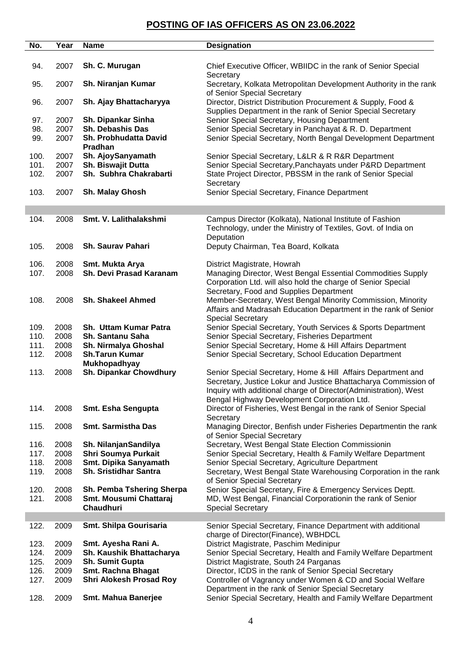| No.          | Year         | <b>Name</b>                                           | <b>Designation</b>                                                                                                          |
|--------------|--------------|-------------------------------------------------------|-----------------------------------------------------------------------------------------------------------------------------|
|              |              |                                                       |                                                                                                                             |
| 94.          | 2007         | Sh. C. Murugan                                        | Chief Executive Officer, WBIIDC in the rank of Senior Special<br>Secretary                                                  |
| 95.          | 2007         | Sh. Niranjan Kumar                                    | Secretary, Kolkata Metropolitan Development Authority in the rank<br>of Senior Special Secretary                            |
| 96.          | 2007         | Sh. Ajay Bhattacharyya                                | Director, District Distribution Procurement & Supply, Food &<br>Supplies Department in the rank of Senior Special Secretary |
| 97.          | 2007         | Sh. Dipankar Sinha                                    | Senior Special Secretary, Housing Department                                                                                |
| 98.          | 2007         | Sh. Debashis Das                                      | Senior Special Secretary in Panchayat & R. D. Department                                                                    |
| 99.          | 2007         | Sh. Probhudatta David                                 | Senior Special Secretary, North Bengal Development Department                                                               |
|              |              | Pradhan                                               |                                                                                                                             |
| 100.         | 2007         | Sh. AjoySanyamath                                     | Senior Special Secretary, L&LR & R R&R Department                                                                           |
| 101.         | 2007         | Sh. Biswajit Dutta                                    | Senior Special Secretary, Panchayats under P&RD Department                                                                  |
| 102.         | 2007         | Sh. Subhra Chakrabarti                                | State Project Director, PBSSM in the rank of Senior Special                                                                 |
| 103.         | 2007         | Sh. Malay Ghosh                                       | Secretary<br>Senior Special Secretary, Finance Department                                                                   |
|              |              |                                                       |                                                                                                                             |
|              |              |                                                       |                                                                                                                             |
| 104.         | 2008         | Smt. V. Lalithalakshmi                                | Campus Director (Kolkata), National Institute of Fashion                                                                    |
|              |              |                                                       | Technology, under the Ministry of Textiles, Govt. of India on                                                               |
|              |              |                                                       | Deputation                                                                                                                  |
| 105.         | 2008         | Sh. Saurav Pahari                                     | Deputy Chairman, Tea Board, Kolkata                                                                                         |
| 106.         | 2008         | Smt. Mukta Arya                                       | District Magistrate, Howrah                                                                                                 |
| 107.         | 2008         | Sh. Devi Prasad Karanam                               | Managing Director, West Bengal Essential Commodities Supply                                                                 |
|              |              |                                                       | Corporation Ltd. will also hold the charge of Senior Special                                                                |
|              |              |                                                       | Secretary, Food and Supplies Department                                                                                     |
| 108.         | 2008         | <b>Sh. Shakeel Ahmed</b>                              | Member-Secretary, West Bengal Minority Commission, Minority                                                                 |
|              |              |                                                       | Affairs and Madrasah Education Department in the rank of Senior                                                             |
|              |              |                                                       | <b>Special Secretary</b>                                                                                                    |
| 109.         | 2008         | Sh. Uttam Kumar Patra                                 | Senior Special Secretary, Youth Services & Sports Department                                                                |
| 110.         | 2008         | Sh. Santanu Saha                                      | Senior Special Secretary, Fisheries Department                                                                              |
| 111.         | 2008         | Sh. Nirmalya Ghoshal                                  | Senior Special Secretary, Home & Hill Affairs Department                                                                    |
| 112.         | 2008         | <b>Sh.Tarun Kumar</b>                                 | Senior Special Secretary, School Education Department                                                                       |
|              |              | <b>Mukhopadhyay</b>                                   |                                                                                                                             |
| 113.         | 2008         | Sh. Dipankar Chowdhury                                | Senior Special Secretary, Home & Hill Affairs Department and                                                                |
|              |              |                                                       | Secretary, Justice Lokur and Justice Bhattacharya Commission of                                                             |
|              |              |                                                       | Inquiry with additional charge of Director(Administration), West                                                            |
|              |              |                                                       | Bengal Highway Development Corporation Ltd.                                                                                 |
| 114.         | 2008         | Smt. Esha Sengupta                                    | Director of Fisheries, West Bengal in the rank of Senior Special                                                            |
|              |              |                                                       | Secretary                                                                                                                   |
| 115.         | 2008         | Smt. Sarmistha Das                                    | Managing Director, Benfish under Fisheries Departmentin the rank                                                            |
|              |              |                                                       | of Senior Special Secretary                                                                                                 |
| 116.         | 2008         | Sh. NilanjanSandilya                                  | Secretary, West Bengal State Election Commissionin                                                                          |
| 117.         | 2008         | Shri Soumya Purkait                                   | Senior Special Secretary, Health & Family Welfare Department                                                                |
| 118.<br>119. | 2008<br>2008 | Smt. Dipika Sanyamath<br><b>Sh. Sristidhar Santra</b> | Senior Special Secretary, Agriculture Department<br>Secretary, West Bengal State Warehousing Corporation in the rank        |
|              |              |                                                       | of Senior Special Secretary                                                                                                 |
| 120.         | 2008         | Sh. Pemba Tshering Sherpa                             | Senior Special Secretary, Fire & Emergency Services Deptt.                                                                  |
| 121.         | 2008         | Smt. Mousumi Chattaraj                                | MD, West Bengal, Financial Corporationin the rank of Senior                                                                 |
|              |              | <b>Chaudhuri</b>                                      | <b>Special Secretary</b>                                                                                                    |
|              |              |                                                       |                                                                                                                             |
| 122.         | 2009         | Smt. Shilpa Gourisaria                                | Senior Special Secretary, Finance Department with additional                                                                |
|              |              |                                                       | charge of Director(Finance), WBHDCL                                                                                         |
| 123.         | 2009         | Smt. Ayesha Rani A.                                   | District Magistrate, Paschim Medinipur                                                                                      |
| 124.         | 2009         | Sh. Kaushik Bhattacharya                              | Senior Special Secretary, Health and Family Welfare Department                                                              |
| 125.         | 2009         | Sh. Sumit Gupta                                       | District Magistrate, South 24 Parganas                                                                                      |
| 126.         | 2009         | <b>Smt. Rachna Bhagat</b>                             | Director, ICDS in the rank of Senior Special Secretary                                                                      |
| 127.         | 2009         | <b>Shri Alokesh Prosad Roy</b>                        | Controller of Vagrancy under Women & CD and Social Welfare                                                                  |
|              |              |                                                       | Department in the rank of Senior Special Secretary                                                                          |
| 128.         | 2009         | <b>Smt. Mahua Banerjee</b>                            | Senior Special Secretary, Health and Family Welfare Department                                                              |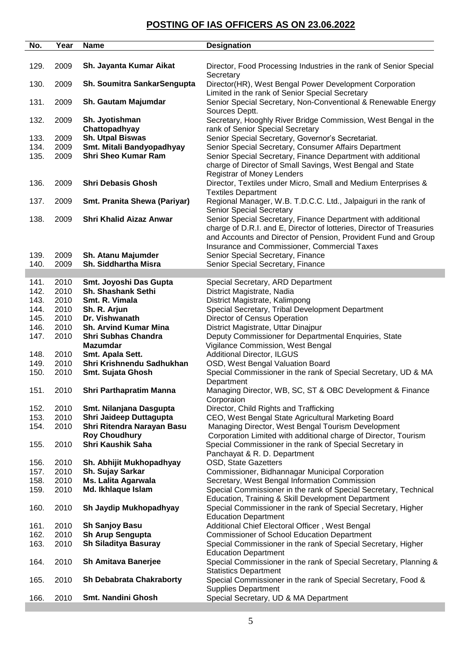| No.  | Year | <b>Name</b>                     | <b>Designation</b>                                                                                         |
|------|------|---------------------------------|------------------------------------------------------------------------------------------------------------|
|      |      |                                 |                                                                                                            |
| 129. | 2009 | Sh. Jayanta Kumar Aikat         | Director, Food Processing Industries in the rank of Senior Special<br>Secretary                            |
| 130. | 2009 | Sh. Soumitra SankarSengupta     | Director(HR), West Bengal Power Development Corporation<br>Limited in the rank of Senior Special Secretary |
| 131. | 2009 | Sh. Gautam Majumdar             | Senior Special Secretary, Non-Conventional & Renewable Energy<br>Sources Deptt.                            |
| 132. | 2009 | Sh. Jyotishman<br>Chattopadhyay | Secretary, Hooghly River Bridge Commission, West Bengal in the<br>rank of Senior Special Secretary         |
| 133. | 2009 | <b>Sh. Utpal Biswas</b>         | Senior Special Secretary, Governor's Secretariat.                                                          |
| 134. | 2009 | Smt. Mitali Bandyopadhyay       | Senior Special Secretary, Consumer Affairs Department                                                      |
| 135. | 2009 | <b>Shri Sheo Kumar Ram</b>      | Senior Special Secretary, Finance Department with additional                                               |
|      |      |                                 | charge of Director of Small Savings, West Bengal and State<br>Registrar of Money Lenders                   |
| 136. | 2009 | <b>Shri Debasis Ghosh</b>       | Director, Textiles under Micro, Small and Medium Enterprises &<br><b>Textiles Department</b>               |
| 137. | 2009 | Smt. Pranita Shewa (Pariyar)    | Regional Manager, W.B. T.D.C.C. Ltd., Jalpaiguri in the rank of<br><b>Senior Special Secretary</b>         |
| 138. | 2009 | <b>Shri Khalid Aizaz Anwar</b>  | Senior Special Secretary, Finance Department with additional                                               |
|      |      |                                 | charge of D.R.I. and E, Director of lotteries, Director of Treasuries                                      |
|      |      |                                 | and Accounts and Director of Pension, Provident Fund and Group                                             |
|      |      |                                 | Insurance and Commissioner, Commercial Taxes                                                               |
| 139. | 2009 | Sh. Atanu Majumder              | Senior Special Secretary, Finance                                                                          |
| 140. | 2009 | Sh. Siddhartha Misra            | Senior Special Secretary, Finance                                                                          |
|      |      |                                 |                                                                                                            |
| 141. | 2010 | Smt. Joyoshi Das Gupta          | Special Secretary, ARD Department                                                                          |
| 142. | 2010 | Sh. Shashank Sethi              | District Magistrate, Nadia                                                                                 |
| 143. | 2010 | Smt. R. Vimala                  | District Magistrate, Kalimpong                                                                             |
| 144. | 2010 | Sh. R. Arjun                    | Special Secretary, Tribal Development Department                                                           |
| 145. | 2010 | Dr. Vishwanath                  | Director of Census Operation                                                                               |
|      |      |                                 |                                                                                                            |
| 146. | 2010 | <b>Sh. Arvind Kumar Mina</b>    | District Magistrate, Uttar Dinajpur                                                                        |
| 147. | 2010 | Shri Subhas Chandra             | Deputy Commissioner for Departmental Enquiries, State                                                      |
|      |      | <b>Mazumdar</b>                 | Vigilance Commission, West Bengal                                                                          |
| 148. | 2010 | Smt. Apala Sett.                | <b>Additional Director, ILGUS</b>                                                                          |
| 149. | 2010 | Shri Krishnendu Sadhukhan       | OSD, West Bengal Valuation Board                                                                           |
| 150. | 2010 | Smt. Sujata Ghosh               | Special Commissioner in the rank of Special Secretary, UD & MA                                             |
|      |      |                                 | Department                                                                                                 |
| 151. | 2010 | Shri Parthapratim Manna         | Managing Director, WB, SC, ST & OBC Development & Finance<br>Corporaion                                    |
| 152. | 2010 | Smt. Nilanjana Dasgupta         | Director, Child Rights and Trafficking                                                                     |
| 153. | 2010 | Shri Jaideep Duttagupta         | CEO, West Bengal State Agricultural Marketing Board                                                        |
| 154. | 2010 | Shri Ritendra Narayan Basu      | Managing Director, West Bengal Tourism Development                                                         |
|      |      | <b>Roy Choudhury</b>            | Corporation Limited with additional charge of Director, Tourism                                            |
| 155. | 2010 | Shri Kaushik Saha               | Special Commissioner in the rank of Special Secretary in                                                   |
|      |      |                                 | Panchayat & R. D. Department                                                                               |
| 156. | 2010 | Sh. Abhijit Mukhopadhyay        | OSD, State Gazetters                                                                                       |
| 157. | 2010 | Sh. Sujay Sarkar                | Commissioner, Bidhannagar Municipal Corporation                                                            |
| 158. | 2010 | <b>Ms. Lalita Agarwala</b>      | Secretary, West Bengal Information Commission                                                              |
| 159. | 2010 | Md. Ikhlaque Islam              | Special Commissioner in the rank of Special Secretary, Technical                                           |
|      |      |                                 | Education, Training & Skill Development Department                                                         |
| 160. | 2010 | Sh Jaydip Mukhopadhyay          | Special Commissioner in the rank of Special Secretary, Higher                                              |
|      |      |                                 | <b>Education Department</b>                                                                                |
| 161. | 2010 | <b>Sh Sanjoy Basu</b>           | Additional Chief Electoral Officer, West Bengal                                                            |
| 162. | 2010 | Sh Arup Sengupta                | <b>Commissioner of School Education Department</b>                                                         |
| 163. | 2010 | Sh Siladitya Basuray            | Special Commissioner in the rank of Special Secretary, Higher                                              |
|      |      |                                 | <b>Education Department</b>                                                                                |
| 164. | 2010 | Sh Amitava Banerjee             | Special Commissioner in the rank of Special Secretary, Planning &                                          |
|      |      |                                 | <b>Statistics Department</b>                                                                               |
| 165. | 2010 | <b>Sh Debabrata Chakraborty</b> | Special Commissioner in the rank of Special Secretary, Food &                                              |
|      |      |                                 | <b>Supplies Department</b>                                                                                 |
|      |      |                                 |                                                                                                            |
| 166. | 2010 | Smt. Nandini Ghosh              | Special Secretary, UD & MA Department                                                                      |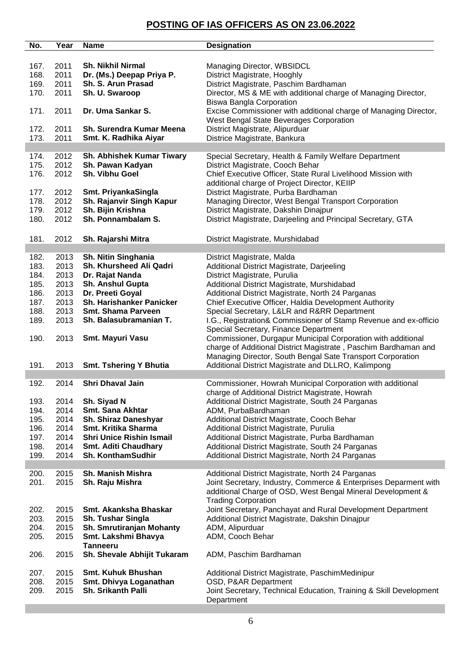| No.          | Year         | <b>Name</b>                        | <b>Designation</b>                                                 |
|--------------|--------------|------------------------------------|--------------------------------------------------------------------|
|              |              |                                    |                                                                    |
| 167.         | 2011         | <b>Sh. Nikhil Nirmal</b>           | Managing Director, WBSIDCL                                         |
| 168.         | 2011         | Dr. (Ms.) Deepap Priya P.          | District Magistrate, Hooghly                                       |
| 169.         | 2011         | Sh. S. Arun Prasad                 | District Magistrate, Paschim Bardhaman                             |
| 170.         | 2011         | Sh. U. Swaroop                     | Director, MS & ME with additional charge of Managing Director,     |
|              |              |                                    | <b>Biswa Bangla Corporation</b>                                    |
| 171.         | 2011         | Dr. Uma Sankar S.                  | Excise Commissioner with additional charge of Managing Director,   |
|              |              |                                    | West Bengal State Beverages Corporation                            |
| 172.         | 2011         | Sh. Surendra Kumar Meena           | District Magistrate, Alipurduar                                    |
| 173.         | 2011         |                                    | Districe Magistrate, Bankura                                       |
|              |              | Smt. K. Radhika Aiyar              |                                                                    |
|              |              | Sh. Abhishek Kumar Tiwary          |                                                                    |
| 174.<br>175. | 2012<br>2012 |                                    | Special Secretary, Health & Family Welfare Department              |
|              |              | Sh. Pawan Kadyan<br>Sh. Vibhu Goel | District Magistrate, Cooch Behar                                   |
| 176.         | 2012         |                                    | Chief Executive Officer, State Rural Livelihood Mission with       |
|              |              |                                    | additional charge of Project Director, KEIIP                       |
| 177.         | 2012         | Smt. PriyankaSingla                | District Magistrate, Purba Bardhaman                               |
| 178.         | 2012         | Sh. Rajanvir Singh Kapur           | Managing Director, West Bengal Transport Corporation               |
| 179.         | 2012         | Sh. Bijin Krishna                  | District Magistrate, Dakshin Dinajpur                              |
| 180.         | 2012         | Sh. Ponnambalam S.                 | District Magistrate, Darjeeling and Principal Secretary, GTA       |
|              |              |                                    |                                                                    |
| 181.         | 2012         | Sh. Rajarshi Mitra                 | District Magistrate, Murshidabad                                   |
|              |              |                                    |                                                                    |
| 182.         | 2013         | Sh. Nitin Singhania                | District Magistrate, Malda                                         |
| 183.         | 2013         | Sh. Khursheed Ali Qadri            | Additional District Magistrate, Darjeeling                         |
| 184.         | 2013         | Dr. Rajat Nanda                    | District Magistrate, Purulia                                       |
| 185.         | 2013         | Sh. Anshul Gupta                   | Additional District Magistrate, Murshidabad                        |
| 186.         | 2013         | Dr. Preeti Goyal                   | Additional District Magistrate, North 24 Parganas                  |
| 187.         | 2013         | Sh. Harishanker Panicker           | Chief Executive Officer, Haldia Development Authority              |
| 188.         | 2013         | <b>Smt. Shama Parveen</b>          | Special Secretary, L&LR and R&RR Department                        |
| 189.         | 2013         | Sh. Balasubramanian T.             | I.G., Registration& Commissioner of Stamp Revenue and ex-officio   |
|              |              |                                    | Special Secretary, Finance Department                              |
| 190.         | 2013         | Smt. Mayuri Vasu                   | Commissioner, Durgapur Municipal Corporation with additional       |
|              |              |                                    | charge of Additional District Magistrate, Paschim Bardhaman and    |
|              |              |                                    | Managing Director, South Bengal Sate Transport Corporation         |
| 191.         | 2013         | <b>Smt. Tshering Y Bhutia</b>      | Additional District Magistrate and DLLRO, Kalimpong                |
|              |              |                                    |                                                                    |
| 192.         | 2014         | <b>Shri Dhaval Jain</b>            | Commissioner, Howrah Municipal Corporation with additional         |
|              |              |                                    | charge of Additional District Magistrate, Howrah                   |
| 193.         | 2014         | Sh. Siyad N                        | Additional District Magistrate, South 24 Parganas                  |
| 194.         | 2014         | Smt. Sana Akhtar                   | ADM, PurbaBardhaman                                                |
| 195.         | 2014         | Sh. Shiraz Daneshyar               | Additional District Magistrate, Cooch Behar                        |
| 196.         | 2014         | Smt. Kritika Sharma                | Additional District Magistrate, Purulia                            |
| 197.         | 2014         | <b>Shri Unice Rishin Ismail</b>    | Additional District Magistrate, Purba Bardhaman                    |
| 198.         | 2014         | <b>Smt. Aditi Chaudhary</b>        | Additional District Magistrate, South 24 Parganas                  |
| 199.         | 2014         | Sh. KonthamSudhir                  | Additional District Magistrate, North 24 Parganas                  |
|              |              |                                    |                                                                    |
| 200.         | 2015         | Sh. Manish Mishra                  | Additional District Magistrate, North 24 Parganas                  |
| 201.         | 2015         | Sh. Raju Mishra                    | Joint Secretary, Industry, Commerce & Enterprises Deparment with   |
|              |              |                                    | additional Charge of OSD, West Bengal Mineral Development &        |
|              |              |                                    |                                                                    |
|              |              | Smt. Akanksha Bhaskar              | <b>Trading Corporation</b>                                         |
| 202.         | 2015         |                                    | Joint Secretary, Panchayat and Rural Development Department        |
| 203.         | 2015         | <b>Sh. Tushar Singla</b>           | Additional District Magistrate, Dakshin Dinajpur                   |
| 204.         | 2015         | Sh. Smrutiranjan Mohanty           | ADM, Alipurduar                                                    |
| 205.         | 2015         | Smt. Lakshmi Bhavya                | ADM, Cooch Behar                                                   |
|              |              | <b>Tanneeru</b>                    |                                                                    |
| 206.         | 2015         | Sh. Shevale Abhijit Tukaram        | ADM, Paschim Bardhaman                                             |
|              |              |                                    |                                                                    |
| 207.         | 2015         | <b>Smt. Kuhuk Bhushan</b>          | Additional District Magistrate, PaschimMedinipur                   |
| 208.         | 2015         | Smt. Dhivya Loganathan             | OSD, P&AR Department                                               |
| 209.         | 2015         | Sh. Srikanth Palli                 | Joint Secretary, Technical Education, Training & Skill Development |
|              |              |                                    | Department                                                         |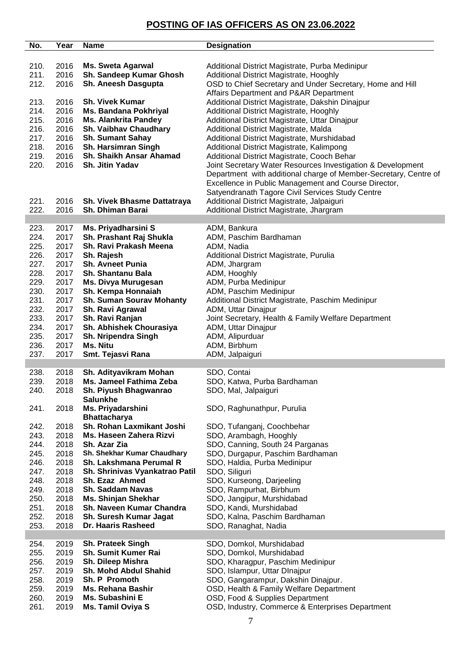| No.          | Year         | <b>Name</b>                          | <b>Designation</b>                                                                  |
|--------------|--------------|--------------------------------------|-------------------------------------------------------------------------------------|
|              |              |                                      |                                                                                     |
| 210.         | 2016         | <b>Ms. Sweta Agarwal</b>             | Additional District Magistrate, Purba Medinipur                                     |
| 211.         | 2016         | Sh. Sandeep Kumar Ghosh              | Additional District Magistrate, Hooghly                                             |
| 212.         | 2016         | Sh. Aneesh Dasgupta                  | OSD to Chief Secretary and Under Secretary, Home and Hill                           |
|              |              |                                      | Affairs Department and P&AR Department                                              |
| 213.         | 2016         | <b>Sh. Vivek Kumar</b>               | Additional District Magistrate, Dakshin Dinajpur                                    |
| 214.         | 2016         | <b>Ms. Bandana Pokhriyal</b>         | Additional District Magistrate, Hooghly                                             |
| 215.         | 2016         | <b>Ms. Alankrita Pandey</b>          | Additional District Magistrate, Uttar Dinajpur                                      |
| 216.         | 2016         | Sh. Vaibhav Chaudhary                | Additional District Magistrate, Malda                                               |
| 217.         | 2016         | <b>Sh. Sumant Sahay</b>              | Additional District Magistrate, Murshidabad                                         |
| 218.         | 2016         | Sh. Harsimran Singh                  | Additional District Magistrate, Kalimpong                                           |
| 219.         | 2016         | Sh. Shaikh Ansar Ahamad              | Additional District Magistrate, Cooch Behar                                         |
| 220.         | 2016         | <b>Sh. Jitin Yadav</b>               | Joint Secretary Water Resources Investigation & Development                         |
|              |              |                                      | Department with additional charge of Member-Secretary, Centre of                    |
|              |              |                                      | Excellence in Public Management and Course Director,                                |
|              |              |                                      | Satyendranath Tagore Civil Services Study Centre                                    |
| 221.         | 2016         | Sh. Vivek Bhasme Dattatraya          | Additional District Magistrate, Jalpaiguri                                          |
| 222.         | 2016         | Sh. Dhiman Barai                     | Additional District Magistrate, Jhargram                                            |
|              |              |                                      |                                                                                     |
| 223.         | 2017         | Ms. Priyadharsini S                  | ADM, Bankura                                                                        |
| 224.         | 2017         | Sh. Prashant Raj Shukla              | ADM, Paschim Bardhaman                                                              |
| 225.         | 2017         | Sh. Ravi Prakash Meena               | ADM, Nadia                                                                          |
| 226.         | 2017         | Sh. Rajesh                           | Additional District Magistrate, Purulia                                             |
| 227.         | 2017         | <b>Sh. Avneet Punia</b>              | ADM, Jhargram                                                                       |
| 228.         | 2017         | <b>Sh. Shantanu Bala</b>             | ADM, Hooghly                                                                        |
| 229.         | 2017         | Ms. Divya Murugesan                  | ADM, Purba Medinipur                                                                |
| 230.         | 2017         | Sh. Kempa Honnaiah                   | ADM, Paschim Medinipur                                                              |
| 231.         | 2017         | <b>Sh. Suman Sourav Mohanty</b>      | Additional District Magistrate, Paschim Medinipur                                   |
| 232.         | 2017         | Sh. Ravi Agrawal                     | ADM, Uttar Dinajpur                                                                 |
| 233.         | 2017         | Sh. Ravi Ranjan                      | Joint Secretary, Health & Family Welfare Department                                 |
| 234.         | 2017         | Sh. Abhishek Chourasiya              | ADM, Uttar Dinajpur                                                                 |
| 235.         | 2017         | Sh. Nripendra Singh                  | ADM, Alipurduar                                                                     |
| 236.         | 2017         | Ms. Nitu                             | ADM, Birbhum                                                                        |
| 237.         | 2017         | Smt. Tejasvi Rana                    | ADM, Jalpaiguri                                                                     |
|              |              |                                      |                                                                                     |
| 238.         | 2018         | Sh. Adityavikram Mohan               | SDO, Contai                                                                         |
| 239.         | 2018         | Ms. Jameel Fathima Zeba              | SDO, Katwa, Purba Bardhaman                                                         |
| 240.         |              | Sh. Piyush Bhagwanrao                | SDO, Mal, Jalpaiguri                                                                |
|              | 2018         |                                      |                                                                                     |
|              |              | <b>Salunkhe</b>                      |                                                                                     |
| 241.         | 2018         | Ms. Priyadarshini                    | SDO, Raghunathpur, Purulia                                                          |
|              |              | <b>Bhattacharya</b>                  |                                                                                     |
| 242.         | 2018         | Sh. Rohan Laxmikant Joshi            | SDO, Tufanganj, Coochbehar                                                          |
| 243.         | 2018         | Ms. Haseen Zahera Rizvi              | SDO, Arambagh, Hooghly                                                              |
| 244.         | 2018         | Sh. Azar Zia                         | SDO, Canning, South 24 Parganas                                                     |
| 245.         | 2018         | Sh. Shekhar Kumar Chaudhary          | SDO, Durgapur, Paschim Bardhaman                                                    |
| 246.         | 2018         | Sh. Lakshmana Perumal R              | SDO, Haldia, Purba Medinipur                                                        |
| 247.         | 2018         | Sh. Shrinivas Vyankatrao Patil       | SDO, Siliguri                                                                       |
| 248.         | 2018         | Sh. Ezaz Ahmed                       | SDO, Kurseong, Darjeeling                                                           |
| 249.         | 2018         | <b>Sh. Saddam Navas</b>              | SDO, Rampurhat, Birbhum                                                             |
| 250.         | 2018         | <b>Ms. Shinjan Shekhar</b>           | SDO, Jangipur, Murshidabad                                                          |
| 251.         | 2018         | Sh. Naveen Kumar Chandra             | SDO, Kandi, Murshidabad                                                             |
| 252.         | 2018         | Sh. Suresh Kumar Jagat               | SDO, Kalna, Paschim Bardhaman                                                       |
| 253.         | 2018         | Dr. Haaris Rasheed                   | SDO, Ranaghat, Nadia                                                                |
|              |              |                                      |                                                                                     |
| 254.         | 2019         | <b>Sh. Prateek Singh</b>             | SDO, Domkol, Murshidabad                                                            |
| 255.         | 2019         | <b>Sh. Sumit Kumer Rai</b>           | SDO, Domkol, Murshidabad                                                            |
| 256.         | 2019         | Sh. Dileep Mishra                    | SDO, Kharagpur, Paschim Medinipur                                                   |
| 257.         | 2019         | <b>Sh. Mohd Abdul Shahid</b>         | SDO, Islampur, Uttar DInajpur                                                       |
| 258.         | 2019         | Sh. P Promoth                        | SDO, Gangarampur, Dakshin Dinajpur.                                                 |
| 259.         | 2019         | Ms. Rehana Bashir                    | OSD, Health & Family Welfare Department                                             |
| 260.<br>261. | 2019<br>2019 | Ms. Subashini E<br>Ms. Tamil Oviya S | OSD, Food & Supplies Department<br>OSD, Industry, Commerce & Enterprises Department |